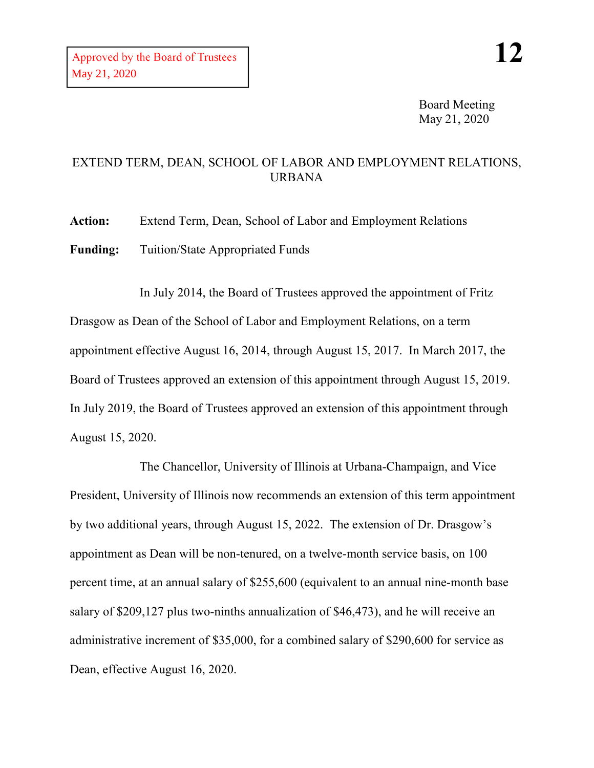Board Meeting May 21, 2020

## EXTEND TERM, DEAN, SCHOOL OF LABOR AND EMPLOYMENT RELATIONS, URBANA

**Action:** Extend Term, Dean, School of Labor and Employment Relations

**Funding:** Tuition/State Appropriated Funds

In July 2014, the Board of Trustees approved the appointment of Fritz Drasgow as Dean of the School of Labor and Employment Relations, on a term appointment effective August 16, 2014, through August 15, 2017. In March 2017, the Board of Trustees approved an extension of this appointment through August 15, 2019. In July 2019, the Board of Trustees approved an extension of this appointment through August 15, 2020.

The Chancellor, University of Illinois at Urbana-Champaign, and Vice President, University of Illinois now recommends an extension of this term appointment by two additional years, through August 15, 2022. The extension of Dr. Drasgow's appointment as Dean will be non-tenured, on a twelve-month service basis, on 100 percent time, at an annual salary of \$255,600 (equivalent to an annual nine-month base salary of \$209,127 plus two-ninths annualization of \$46,473), and he will receive an administrative increment of \$35,000, for a combined salary of \$290,600 for service as Dean, effective August 16, 2020.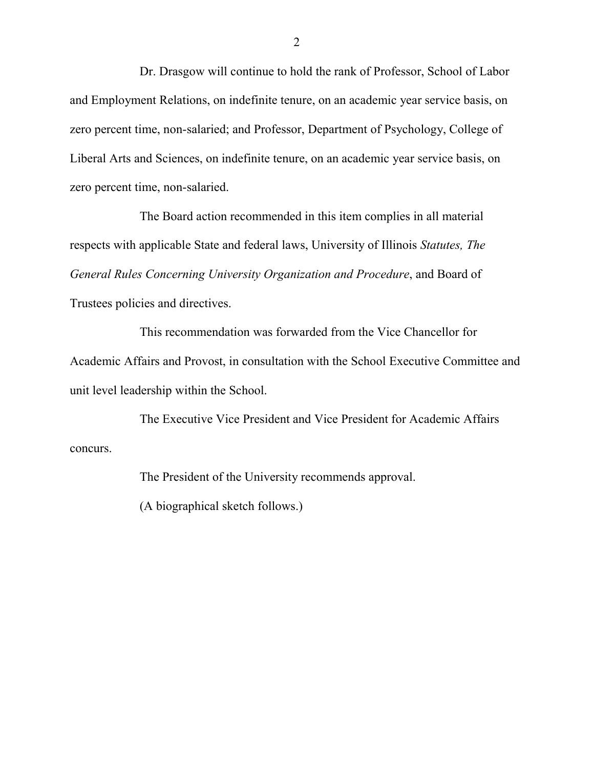Dr. Drasgow will continue to hold the rank of Professor, School of Labor and Employment Relations, on indefinite tenure, on an academic year service basis, on zero percent time, non-salaried; and Professor, Department of Psychology, College of Liberal Arts and Sciences, on indefinite tenure, on an academic year service basis, on zero percent time, non-salaried.

The Board action recommended in this item complies in all material respects with applicable State and federal laws, University of Illinois *Statutes, The General Rules Concerning University Organization and Procedure*, and Board of Trustees policies and directives.

This recommendation was forwarded from the Vice Chancellor for Academic Affairs and Provost, in consultation with the School Executive Committee and unit level leadership within the School.

The Executive Vice President and Vice President for Academic Affairs concurs.

The President of the University recommends approval.

(A biographical sketch follows.)